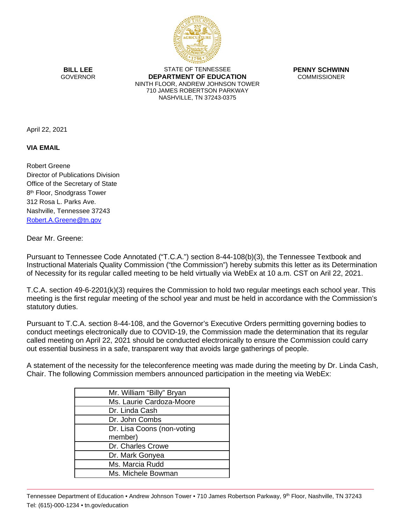

**BILL LEE GOVERNOR** 

STATE OF TENNESSEE **DEPARTMENT OF EDUCATION** NINTH FLOOR, ANDREW JOHNSON TOWER 710 JAMES ROBERTSON PARKWAY NASHVILLE, TN 37243-0375

**PENNY SCHWINN COMMISSIONER** 

April 22, 2021

**VIA EMAIL**

Robert Greene Director of Publications Division Office of the Secretary of State 8<sup>th</sup> Floor, Snodgrass Tower 312 Rosa L. Parks Ave. Nashville, Tennessee 37243 [Robert.A.Greene@tn.gov](mailto:Robert.A.Greene@tn.gov)

Dear Mr. Greene:

Pursuant to Tennessee Code Annotated ("T.C.A.") section 8-44-108(b)(3), the Tennessee Textbook and Instructional Materials Quality Commission ("the Commission") hereby submits this letter as its Determination of Necessity for its regular called meeting to be held virtually via WebEx at 10 a.m. CST on Aril 22, 2021.

T.C.A. section 49-6-2201(k)(3) requires the Commission to hold two regular meetings each school year. This meeting is the first regular meeting of the school year and must be held in accordance with the Commission's statutory duties.

Pursuant to T.C.A. section 8-44-108, and the Governor's Executive Orders permitting governing bodies to conduct meetings electronically due to COVID-19, the Commission made the determination that its regular called meeting on April 22, 2021 should be conducted electronically to ensure the Commission could carry out essential business in a safe, transparent way that avoids large gatherings of people.

A statement of the necessity for the teleconference meeting was made during the meeting by Dr. Linda Cash, Chair. The following Commission members announced participation in the meeting via WebEx:

| Mr. William "Billy" Bryan  |  |
|----------------------------|--|
| Ms. Laurie Cardoza-Moore   |  |
| Dr. Linda Cash             |  |
| Dr. John Combs             |  |
| Dr. Lisa Coons (non-voting |  |
| member)                    |  |
| Dr. Charles Crowe          |  |
| Dr. Mark Gonyea            |  |
| Ms. Marcia Rudd            |  |
| Ms. Michele Bowman         |  |

Tennessee Department of Education • Andrew Johnson Tower • 710 James Robertson Parkway, 9th Floor, Nashville, TN 37243 Tel: (615)-000-1234 • tn.gov/education